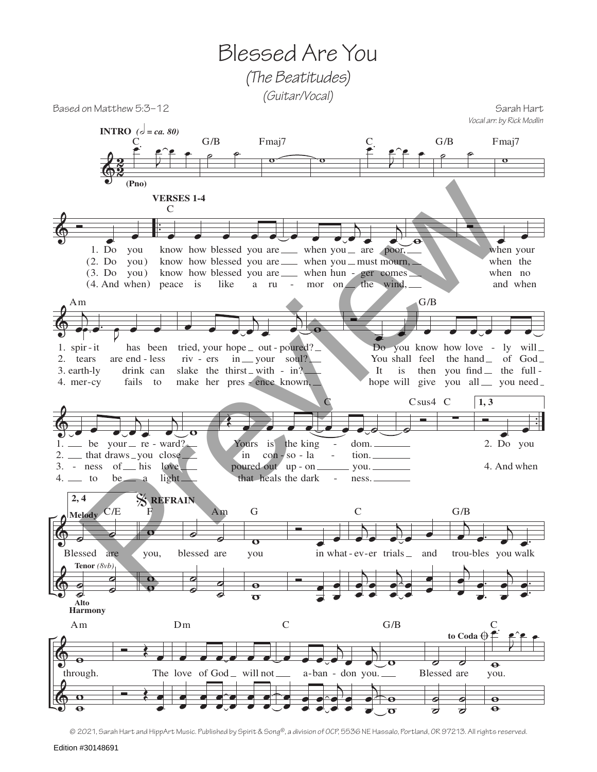Blessed Are You *(The Beatitudes) (Guitar/Vocal)*

Based on Matthew 5:3–12 Sarah Hart

 $\breve \Phi$  $\frac{c}{2}$  $\overline{z}$ C<br><del>E e^e e</del> **INTRO**  $(c) = ca. 80$ **(Pno)**  $G/B$  $\overline{\mathbf{o}}$ Fmaj7  $rac{C}{\bullet}$  $\overline{a}$ C<br><del>E e^e</del> e  $G/B$  $\overline{\mathbf{o}}$ Fmaj7  $\oint_0^{\frac{1}{2}}$ Do 1.  $(2. Do you)$  $(3. Do you)$  $(4. \text{ And when})$ you . . . . .  $k$  how blessed you are when you are poor, know how blessed you are <u>when</u> you must mourn, know how blessed you are \_\_\_\_ when hun - ger comes peace is like a ru - mor on the wind,  $\overline{C}$ **VERSES 1-4**  $\overrightarrow{e}$ e e communes when your when the when no and when  $\&$  $e^{i\theta}$ 1. spir-it tears 2. 3. earth-ly 4. mer-cy are end less has been drink can fails to  $\overrightarrow{e}$ .  $\overrightarrow{p}$ œ Am  $\overrightarrow{e}$  $\Gamma_{\bullet}$  $\overline{\mathbf{S}}$ œ - it has been tried, your hope \_ out - poured? Do you know how love riv - ers in \_\_ your soul? slake the thirst with -  $in?$ -cy fails to make her pres - ence known, <sup>w</sup> <sup>Ó</sup> œ œ Do You shall feel the hand \_ of God It hope will give you all gou need you know how love - ly will  $-$  -ly drink can slake the thirst\_with - in?<br>  $\qquad$  It is then you find the full œ œ œ œ œ œ G/B  $\&$  . The same  $\&$  , and  $\&$  . The same  $\&$  ,  $\&$  $\overrightarrow{r}$  .  $\overrightarrow{r}$  .  $\overrightarrow{r}$  .  $\overrightarrow{r}$  .  $\overrightarrow{r}$  $\frac{\partial}{\partial t}$  $\overline{\mathsf{A}}$ be your  $\equiv$  re - ward? 2. <u>I</u> that draws \_you close 3. - ness of his love  $4.$  to be a light\_  $1.$   $\equiv$  $\overline{\mathbf{o}}$ Œ œ œ œ œ - ward? Yours is the king in poured out up - on that heals the dark con - so - la - $\bullet$   $\bullet$   $\circ$ dom. tion. you. ness. C  $\frac{1}{\circ}$ Csus4 C ∑ C **1, 3**  $\overline{\phantom{a}}$ <br>2. Do you 4. And when -  $\Phi$  $\breve{\Phi}$ **2, 4**  $\overrightarrow{0}$ Blessed are ˙ Ø<br>∿  $\frac{1}{\alpha}$  $\bullet$ C/E **Melody Tenor** *(8vb)* **Alto Harmony** o you,  $\frac{1}{\Omega}$ o<br>O F % **REFRAIN**  $^{\circ}$ blessed are  $\overline{\bullet}$  $\bullet$  $\overline{\bullet}$  $\bullet$ Am o<br>O you  $\overline{\mathbf{e}}$  $\frac{6}{10}$ G  $\frac{1}{\sqrt{2}}$ in what-ev-er trials \_ and trou- $\frac{1}{\epsilon}$ œ œ œ j  $\sum_{e}$  $\partial_{\alpha}$ j œ œ œ œ  $\overline{A}$ œ œ œ œ œ œ C j  $\overrightarrow{e}$ trou-bles you walk  $\overline{b}$ œ  $\frac{e^{\lambda}}{e^{\lambda}}$ . œ œ  $\overline{b}$ œ  $\frac{1}{\sqrt{2}}$ . œ œ G/B  $\Phi$  $\Phi$  $\frac{1}{\Theta}$ through.  $\overline{\mathbf{o}}$  $\frac{6}{9}$ Am  $\leftrightarrow$ The love of God \_ will not  $$ œ œ œ œ œ œ œ œ œ œ e<br>e œ œ œ œ œ œ œ œ Dm  $\overrightarrow{e}$  $\frac{1}{\sqrt{2}}$ œ a-ban - don you. œ e<br>e œ œ œ œ j œ œ œ œ j œ œ C o<br>O  $\overline{\mathbf{e}}$  $\frac{6}{10}$ G/B  $\overline{\sigma}$   $\sigma$ Blessed are  $\overline{\bullet}$  $\bullet$  $\overline{\bullet}$  $\tilde{\bullet}$ to Coda  $\oplus$  $\overline{\mathbf{o}}$ you. œ. C  $\overline{2}$ œ œ œ  $\mathbf \Theta$  $\bullet$ *Vocal arr. by Rick Modlin* (Pho) VERSES 1-4<br>
1. Do you know how blessed you are when you are when you are when you are when you are when you are when you are when you are when you are when you are when you all power to the wind of the wind of the s

© 2021, Sarah Hart and HippArt Music. Published by Spirit & Song®, a division of OCP, 5536 NE Hassalo, Portland, OR 97213. All rights reserved.

Edition #30148691